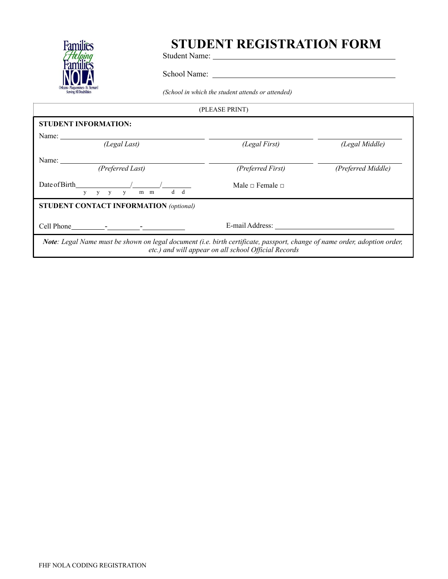

## **STUDENT REGISTRATION FORM**

Student Name:

School Name:

*(School in which the student attends or attended)* 

| (PLEASE PRINT)                                                                                                            |                                                      |                    |
|---------------------------------------------------------------------------------------------------------------------------|------------------------------------------------------|--------------------|
| <b>STUDENT INFORMATION:</b>                                                                                               |                                                      |                    |
| Name:<br>(Legal Last)                                                                                                     | (Legal First)                                        | (Legal Middle)     |
| Name:<br>(Preferred Last)                                                                                                 | (Preferred First)                                    | (Preferred Middle) |
| Date of Birth<br>d d<br>$V$ $V$ $V$<br>m m<br>V                                                                           | Male $\Box$ Female $\Box$                            |                    |
| <b>STUDENT CONTACT INFORMATION (optional)</b>                                                                             |                                                      |                    |
|                                                                                                                           | E-mail Address:                                      |                    |
| Note: Legal Name must be shown on legal document (i.e. birth certificate, passport, change of name order, adoption order, | etc.) and will appear on all school Official Records |                    |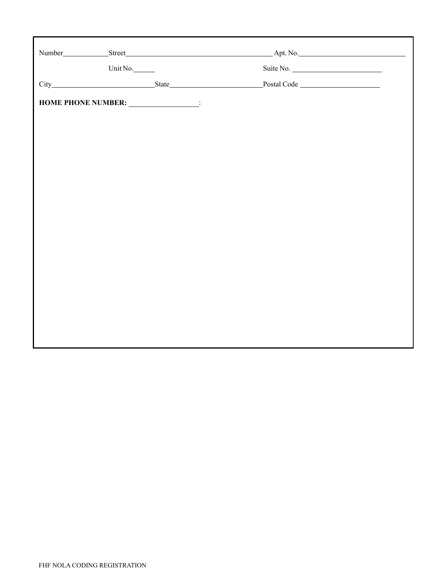| Unit No.<br>Suite No.<br>Postal Code<br>HOME PHONE NUMBER: ________________: |  |
|------------------------------------------------------------------------------|--|
|                                                                              |  |
|                                                                              |  |
|                                                                              |  |
|                                                                              |  |
|                                                                              |  |
|                                                                              |  |
|                                                                              |  |
|                                                                              |  |
|                                                                              |  |
|                                                                              |  |
|                                                                              |  |
|                                                                              |  |
|                                                                              |  |
|                                                                              |  |
|                                                                              |  |
|                                                                              |  |
|                                                                              |  |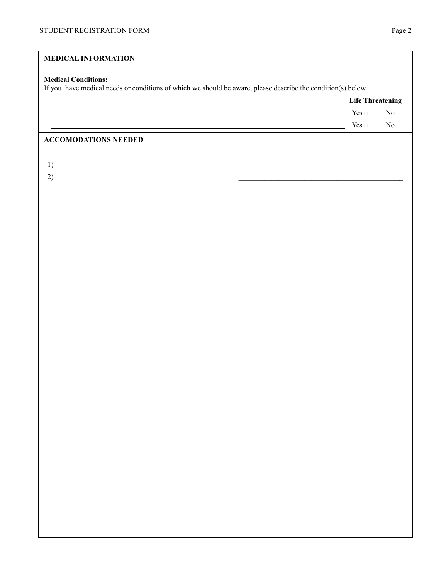**Life Threatening** 

## **MEDICAL INFORMATION Medical Conditions:**  If you have medical needs or conditions of which we should be aware, please describe the condition(s) below: Yes□ No□

Yes□ No□

## **ACCOMODATIONS NEEDED**

- 1)
- 2) \_\_\_\_\_\_\_\_\_\_\_\_\_\_\_\_\_\_\_\_\_\_\_\_\_\_\_\_\_\_\_\_\_\_\_\_\_\_\_\_\_\_\_\_\_